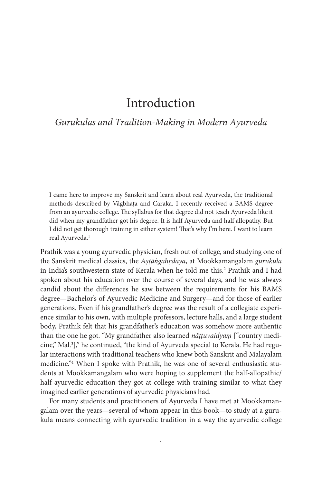# Introduction

# *Gurukulas and Tradition-Making in Modern Ayurveda*

I came here to improve my Sanskrit and learn about real Ayurveda, the traditional methods described by Vāgbhaṭa and Caraka. I recently received a BAMS degree from an ayurvedic college. The syllabus for that degree did not teach Ayurveda like it did when my grandfather got his degree. It is half Ayurveda and half allopathy. But I did not get thorough training in either system! That's why I'm here. I want to learn real Ayurveda.<sup>1</sup>

Prathik was a young ayurvedic physician, fresh out of college, and studying one of the Sanskrit medical classics, the *Aṣṭāṅgahṛdaya*, at Mookkamangalam *gurukula*  in India's southwestern state of Kerala when he told me this.<sup>2</sup> Prathik and I had spoken about his education over the course of several days, and he was always candid about the differences he saw between the requirements for his BAMS degree—Bachelor's of Ayurvedic Medicine and Surgery—and for those of earlier generations. Even if his grandfather's degree was the result of a collegiate experience similar to his own, with multiple professors, lecture halls, and a large student body, Prathik felt that his grandfather's education was somehow more authentic than the one he got. "My grandfather also learned *nāṭṭuvaidyaṃ* ["country medicine," Mal.3 ]," he continued, "the kind of Ayurveda special to Kerala. He had regular interactions with traditional teachers who knew both Sanskrit and Malayalam medicine."4 When I spoke with Prathik, he was one of several enthusiastic students at Mookkamangalam who were hoping to supplement the half-allopathic/ half-ayurvedic education they got at college with training similar to what they imagined earlier generations of ayurvedic physicians had.

For many students and practitioners of Ayurveda I have met at Mookkamangalam over the years—several of whom appear in this book—to study at a gurukula means connecting with ayurvedic tradition in a way the ayurvedic college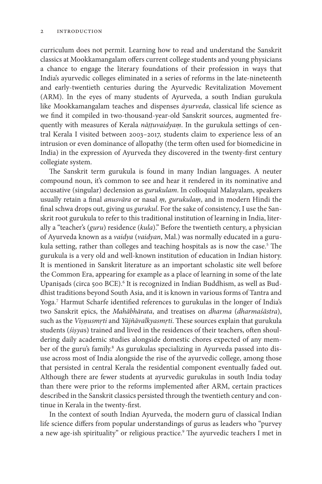curriculum does not permit. Learning how to read and understand the Sanskrit classics at Mookkamangalam offers current college students and young physicians a chance to engage the literary foundations of their profession in ways that India's ayurvedic colleges eliminated in a series of reforms in the late-nineteenth and early-twentieth centuries during the Ayurvedic Revitalization Movement (ARM). In the eyes of many students of Ayurveda, a south Indian gurukula like Mookkamangalam teaches and dispenses *āyurveda*, classical life science as we find it compiled in two-thousand-year-old Sanskrit sources, augmented frequently with measures of Kerala *nāṭṭuvaidyaṃ*. In the gurukula settings of central Kerala I visited between 2003–2017, students claim to experience less of an intrusion or even dominance of allopathy (the term often used for biomedicine in India) in the expression of Ayurveda they discovered in the twenty-first century collegiate system.

The Sanskrit term gurukula is found in many Indian languages. A neuter compound noun, it's common to see and hear it rendered in its nominative and accusative (singular) declension as *gurukulam*. In colloquial Malayalam, speakers usually retain a final *anusvāra* or nasal *ṃ, gurukulaṃ*, and in modern Hindi the final schwa drops out, giving us *gurukul*. For the sake of consistency, I use the Sanskrit root gurukula to refer to this traditional institution of learning in India, literally a "teacher's (*guru*) residence (*kula*)." Before the twentieth century, a physician of Ayurveda known as a *vaidya* (*vaidyan*, Mal.) was normally educated in a gurukula setting, rather than colleges and teaching hospitals as is now the case.<sup>5</sup> The gurukula is a very old and well-known institution of education in Indian history. It is mentioned in Sanskrit literature as an important scholastic site well before the Common Era, appearing for example as a place of learning in some of the late Upaniṣads (circa 500 BCE).<sup>6</sup> It is recognized in Indian Buddhism, as well as Buddhist traditions beyond South Asia, and it is known in various forms of Tantra and Yoga.7 Harmut Scharfe identified references to gurukulas in the longer of India's two Sanskrit epics, the *Mahābhārata*, and treatises on *dharma* (*dharmaśāstra*), such as the *Viṣṇusmṛti* and *Yājñāvalkyasmṛti*. These sources explain that gurukula students (*śiṣya*s) trained and lived in the residences of their teachers, often shouldering daily academic studies alongside domestic chores expected of any member of the guru's family.<sup>8</sup> As gurukulas specializing in Ayurveda passed into disuse across most of India alongside the rise of the ayurvedic college, among those that persisted in central Kerala the residential component eventually faded out. Although there are fewer students at ayurvedic gurukulas in south India today than there were prior to the reforms implemented after ARM, certain practices described in the Sanskrit classics persisted through the twentieth century and continue in Kerala in the twenty-first.

In the context of south Indian Ayurveda, the modern guru of classical Indian life science differs from popular understandings of gurus as leaders who "purvey a new age-ish spirituality" or religious practice.<sup>9</sup> The ayurvedic teachers I met in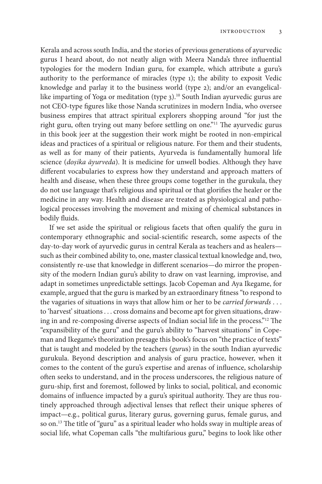Kerala and across south India, and the stories of previous generations of ayurvedic gurus I heard about, do not neatly align with Meera Nanda's three influential typologies for the modern Indian guru, for example, which attribute a guru's authority to the performance of miracles (type 1); the ability to exposit Vedic knowledge and parlay it to the business world (type 2); and/or an evangelicallike imparting of Yoga or meditation (type 3).<sup>10</sup> South Indian ayurvedic gurus are not CEO-type figures like those Nanda scrutinizes in modern India, who oversee business empires that attract spiritual explorers shopping around "for just the right guru, often trying out many before settling on one."<sup>11</sup> The ayurvedic gurus in this book jeer at the suggestion their work might be rooted in non-empirical ideas and practices of a spiritual or religious nature. For them and their students, as well as for many of their patients, Ayurveda is fundamentally humoral life science (*doṣika āyurveda*). It is medicine for unwell bodies. Although they have different vocabularies to express how they understand and approach matters of health and disease, when these three groups come together in the gurukula, they do not use language that's religious and spiritual or that glorifies the healer or the medicine in any way. Health and disease are treated as physiological and pathological processes involving the movement and mixing of chemical substances in bodily fluids.

If we set aside the spiritual or religious facets that often qualify the guru in contemporary ethnographic and social-scientific research, some aspects of the day-to-day work of ayurvedic gurus in central Kerala as teachers and as healers such as their combined ability to, one, master classical textual knowledge and, two, consistently re-use that knowledge in different scenarios—do mirror the propensity of the modern Indian guru's ability to draw on vast learning, improvise, and adapt in sometimes unpredictable settings. Jacob Copeman and Aya Ikegame, for example, argued that the guru is marked by an extraordinary fitness "to respond to the vagaries of situations in ways that allow him or her to be *carried forwards* . . . to 'harvest' situations . . . cross domains and become apt for given situations, drawing in and re-composing diverse aspects of Indian social life in the process."12 The "expansibility of the guru" and the guru's ability to "harvest situations" in Copeman and Ikegame's theorization presage this book's focus on "the practice of texts" that is taught and modeled by the teachers (*guru*s) in the south Indian ayurvedic gurukula. Beyond description and analysis of guru practice, however, when it comes to the content of the guru's expertise and arenas of influence, scholarship often seeks to understand, and in the process underscores, the religious nature of guru-ship, first and foremost, followed by links to social, political, and economic domains of influence impacted by a guru's spiritual authority. They are thus routinely approached through adjectival lenses that reflect their unique spheres of impact—e.g., political gurus, literary gurus, governing gurus, female gurus, and so on.<sup>13</sup> The title of "guru" as a spiritual leader who holds sway in multiple areas of social life, what Copeman calls "the multifarious guru," begins to look like other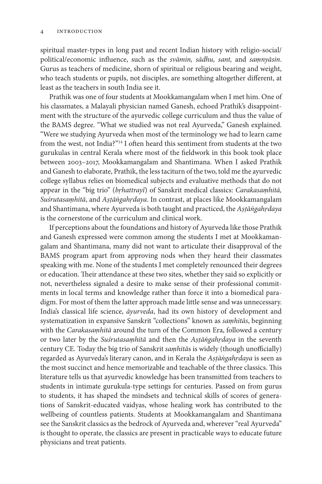spiritual master-types in long past and recent Indian history with religio-social/ political/economic influence, such as the *svāmin, sādhu, sant,* and *saṃnyāsin*. Gurus as teachers of medicine, shorn of spiritual or religious bearing and weight, who teach students or pupils, not disciples, are something altogether different, at least as the teachers in south India see it.

Prathik was one of four students at Mookkamangalam when I met him. One of his classmates, a Malayali physician named Ganesh, echoed Prathik's disappointment with the structure of the ayurvedic college curriculum and thus the value of the BAMS degree. "What we studied was not real Ayurveda," Ganesh explained. "Were we studying Ayurveda when most of the terminology we had to learn came from the west, not India?"14 I often heard this sentiment from students at the two gurukulas in central Kerala where most of the fieldwork in this book took place between 2003–2017, Mookkamangalam and Shantimana. When I asked Prathik and Ganesh to elaborate, Prathik, the less taciturn of the two, told me the ayurvedic college syllabus relies on biomedical subjects and evaluative methods that do not appear in the "big trio" (*bṛhattrayī*) of Sanskrit medical classics: *Carakasaṃhitā, Suśrutasaṃhitā*, and *Aṣṭāṅgahṛdaya*. In contrast, at places like Mookkamangalam and Shantimana, where Ayurveda is both taught and practiced, the *Aṣṭāṅgahṛdaya* is the cornerstone of the curriculum and clinical work.

If perceptions about the foundations and history of Ayurveda like those Prathik and Ganesh expressed were common among the students I met at Mookkamangalam and Shantimana, many did not want to articulate their disapproval of the BAMS program apart from approving nods when they heard their classmates speaking with me. None of the students I met completely renounced their degrees or education. Their attendance at these two sites, whether they said so explicitly or not, nevertheless signaled a desire to make sense of their professional commitments in local terms and knowledge rather than force it into a biomedical paradigm. For most of them the latter approach made little sense and was unnecessary. India's classical life science, *āyurveda*, had its own history of development and systematization in expansive Sanskrit "collections" known as *saṃhitās*, beginning with the *Carakasaṃhitā* around the turn of the Common Era, followed a century or two later by the *Suśrutasaṃhitā* and then the *Aṣṭāṅgahṛdaya* in the seventh century CE. Today the big trio of Sanskrit *saṃhitā*s is widely (though unofficially) regarded as Ayurveda's literary canon, and in Kerala the *Aṣṭāṅgahṛdaya* is seen as the most succinct and hence memorizable and teachable of the three classics. This literature tells us that ayurvedic knowledge has been transmitted from teachers to students in intimate gurukula-type settings for centuries. Passed on from gurus to students, it has shaped the mindsets and technical skills of scores of generations of Sanskrit-educated vaidyas, whose healing work has contributed to the wellbeing of countless patients. Students at Mookkamangalam and Shantimana see the Sanskrit classics as the bedrock of Ayurveda and, wherever "real Ayurveda" is thought to operate, the classics are present in practicable ways to educate future physicians and treat patients.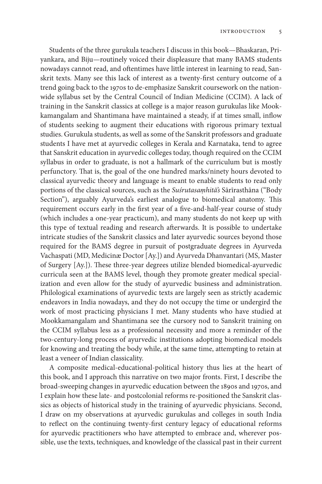Students of the three gurukula teachers I discuss in this book—Bhaskaran, Priyankara, and Biju—routinely voiced their displeasure that many BAMS students nowadays cannot read, and oftentimes have little interest in learning to read, Sanskrit texts. Many see this lack of interest as a twenty-first century outcome of a trend going back to the 1970s to de-emphasize Sanskrit coursework on the nationwide syllabus set by the Central Council of Indian Medicine (CCIM). A lack of training in the Sanskrit classics at college is a major reason gurukulas like Mookkamangalam and Shantimana have maintained a steady, if at times small, inflow of students seeking to augment their educations with rigorous primary textual studies. Gurukula students, as well as some of the Sanskrit professors and graduate students I have met at ayurvedic colleges in Kerala and Karnataka, tend to agree that Sanskrit education in ayurvedic colleges today, though required on the CCIM syllabus in order to graduate, is not a hallmark of the curriculum but is mostly perfunctory. That is, the goal of the one hundred marks/ninety hours devoted to classical ayurvedic theory and language is meant to enable students to read only portions of the classical sources, such as the *Suśrutasaṃhitā's* Sārīrasthāna ("Body Section"), arguably Ayurveda's earliest analogue to biomedical anatomy. This requirement occurs early in the first year of a five-and-half-year course of study (which includes a one-year practicum), and many students do not keep up with this type of textual reading and research afterwards. It is possible to undertake intricate studies of the Sanskrit classics and later ayurvedic sources beyond those required for the BAMS degree in pursuit of postgraduate degrees in Ayurveda Vachaspati (MD, Medicinæ Doctor [Ay.]) and Ayurveda Dhanvantari (MS, Master of Surgery [Ay.]). These three-year degrees utilize blended biomedical-ayurvedic curricula seen at the BAMS level, though they promote greater medical specialization and even allow for the study of ayurvedic business and administration. Philological examinations of ayurvedic texts are largely seen as strictly academic endeavors in India nowadays, and they do not occupy the time or undergird the work of most practicing physicians I met. Many students who have studied at Mookkamangalam and Shantimana see the cursory nod to Sanskrit training on the CCIM syllabus less as a professional necessity and more a reminder of the two-century-long process of ayurvedic institutions adopting biomedical models for knowing and treating the body while, at the same time, attempting to retain at least a veneer of Indian classicality.

A composite medical-educational-political history thus lies at the heart of this book, and I approach this narrative on two major fronts. First, I describe the broad-sweeping changes in ayurvedic education between the 1890s and 1970s, and I explain how these late- and postcolonial reforms re-positioned the Sanskrit classics as objects of historical study in the training of ayurvedic physicians. Second, I draw on my observations at ayurvedic gurukulas and colleges in south India to reflect on the continuing twenty-first century legacy of educational reforms for ayurvedic practitioners who have attempted to embrace and, wherever possible, use the texts, techniques, and knowledge of the classical past in their current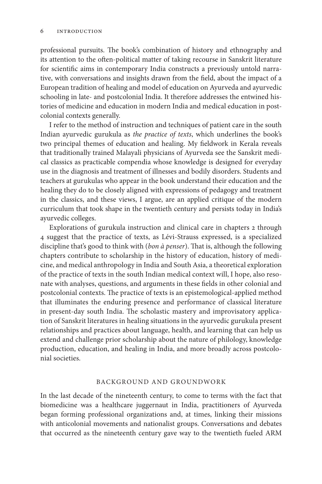professional pursuits. The book's combination of history and ethnography and its attention to the often-political matter of taking recourse in Sanskrit literature for scientific aims in contemporary India constructs a previously untold narrative, with conversations and insights drawn from the field, about the impact of a European tradition of healing and model of education on Ayurveda and ayurvedic schooling in late- and postcolonial India. It therefore addresses the entwined histories of medicine and education in modern India and medical education in postcolonial contexts generally.

I refer to the method of instruction and techniques of patient care in the south Indian ayurvedic gurukula as *the practice of texts*, which underlines the book's two principal themes of education and healing. My fieldwork in Kerala reveals that traditionally trained Malayali physicians of Ayurveda see the Sanskrit medical classics as practicable compendia whose knowledge is designed for everyday use in the diagnosis and treatment of illnesses and bodily disorders. Students and teachers at gurukulas who appear in the book understand their education and the healing they do to be closely aligned with expressions of pedagogy and treatment in the classics, and these views, I argue, are an applied critique of the modern curriculum that took shape in the twentieth century and persists today in India's ayurvedic colleges.

Explorations of gurukula instruction and clinical care in chapters 2 through 4 suggest that the practice of texts, as Lévi-Strauss expressed, is a specialized discipline that's good to think with (*bon à penser*). That is, although the following chapters contribute to scholarship in the history of education, history of medicine, and medical anthropology in India and South Asia, a theoretical exploration of the practice of texts in the south Indian medical context will, I hope, also resonate with analyses, questions, and arguments in these fields in other colonial and postcolonial contexts. The practice of texts is an epistemological-applied method that illuminates the enduring presence and performance of classical literature in present-day south India. The scholastic mastery and improvisatory application of Sanskrit literatures in healing situations in the ayurvedic gurukula present relationships and practices about language, health, and learning that can help us extend and challenge prior scholarship about the nature of philology, knowledge production, education, and healing in India, and more broadly across postcolonial societies.

#### BACKGROUND AND GROUNDWORK

In the last decade of the nineteenth century, to come to terms with the fact that biomedicine was a healthcare juggernaut in India, practitioners of Ayurveda began forming professional organizations and, at times, linking their missions with anticolonial movements and nationalist groups. Conversations and debates that occurred as the nineteenth century gave way to the twentieth fueled ARM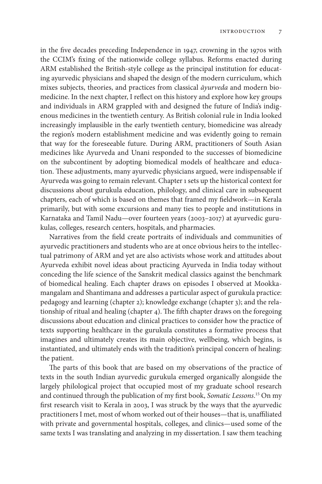in the five decades preceding Independence in 1947, crowning in the 1970s with the CCIM's fixing of the nationwide college syllabus. Reforms enacted during ARM established the British-style college as the principal institution for educating ayurvedic physicians and shaped the design of the modern curriculum, which mixes subjects, theories, and practices from classical *āyurveda* and modern biomedicine. In the next chapter, I reflect on this history and explore how key groups and individuals in ARM grappled with and designed the future of India's indigenous medicines in the twentieth century. As British colonial rule in India looked increasingly implausible in the early twentieth century, biomedicine was already the region's modern establishment medicine and was evidently going to remain that way for the foreseeable future. During ARM, practitioners of South Asian medicines like Ayurveda and Unani responded to the successes of biomedicine on the subcontinent by adopting biomedical models of healthcare and education. These adjustments, many ayurvedic physicians argued, were indispensable if Ayurveda was going to remain relevant. Chapter 1 sets up the historical context for discussions about gurukula education, philology, and clinical care in subsequent chapters, each of which is based on themes that framed my fieldwork—in Kerala primarily, but with some excursions and many ties to people and institutions in Karnataka and Tamil Nadu—over fourteen years (2003–2017) at ayurvedic gurukulas, colleges, research centers, hospitals, and pharmacies.

Narratives from the field create portraits of individuals and communities of ayurvedic practitioners and students who are at once obvious heirs to the intellectual patrimony of ARM and yet are also activists whose work and attitudes about Ayurveda exhibit novel ideas about practicing Ayurveda in India today without conceding the life science of the Sanskrit medical classics against the benchmark of biomedical healing. Each chapter draws on episodes I observed at Mookkamangalam and Shantimana and addresses a particular aspect of gurukula practice: pedagogy and learning (chapter 2); knowledge exchange (chapter 3); and the relationship of ritual and healing (chapter 4). The fifth chapter draws on the foregoing discussions about education and clinical practices to consider how the practice of texts supporting healthcare in the gurukula constitutes a formative process that imagines and ultimately creates its main objective, wellbeing, which begins, is instantiated, and ultimately ends with the tradition's principal concern of healing: the patient.

The parts of this book that are based on my observations of the practice of texts in the south Indian ayurvedic gurukula emerged organically alongside the largely philological project that occupied most of my graduate school research and continued through the publication of my first book, *Somatic Lessons*. 15 On my first research visit to Kerala in 2003, I was struck by the ways that the ayurvedic practitioners I met, most of whom worked out of their houses—that is, unaffiliated with private and governmental hospitals, colleges, and clinics—used some of the same texts I was translating and analyzing in my dissertation. I saw them teaching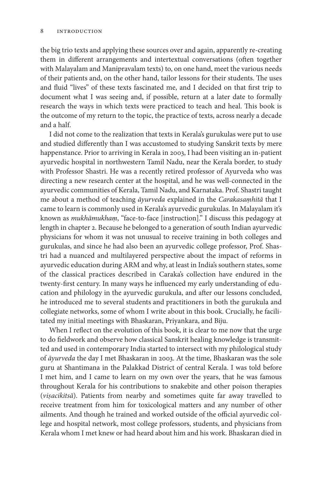the big trio texts and applying these sources over and again, apparently re-creating them in different arrangements and intertextual conversations (often together with Malayalam and Manipravalam texts) to, on one hand, meet the various needs of their patients and, on the other hand, tailor lessons for their students. The uses and fluid "lives" of these texts fascinated me, and I decided on that first trip to document what I was seeing and, if possible, return at a later date to formally research the ways in which texts were practiced to teach and heal. This book is the outcome of my return to the topic, the practice of texts, across nearly a decade and a half.

I did not come to the realization that texts in Kerala's gurukulas were put to use and studied differently than I was accustomed to studying Sanskrit texts by mere happenstance. Prior to arriving in Kerala in 2003, I had been visiting an in-patient ayurvedic hospital in northwestern Tamil Nadu, near the Kerala border, to study with Professor Shastri. He was a recently retired professor of Ayurveda who was directing a new research center at the hospital, and he was well-connected in the ayurvedic communities of Kerala, Tamil Nadu, and Karnataka. Prof. Shastri taught me about a method of teaching *āyurveda* explained in the *Carakasaṃhitā* that I came to learn is commonly used in Kerala's ayurvedic gurukulas. In Malayalam it's known as *mukhāmukhaṃ*, "face-to-face [instruction]." I discuss this pedagogy at length in chapter 2. Because he belonged to a generation of south Indian ayurvedic physicians for whom it was not unusual to receive training in both colleges and gurukulas, and since he had also been an ayurvedic college professor, Prof. Shastri had a nuanced and multilayered perspective about the impact of reforms in ayurvedic education during ARM and why, at least in India's southern states, some of the classical practices described in Caraka's collection have endured in the twenty-first century. In many ways he influenced my early understanding of education and philology in the ayurvedic gurukula, and after our lessons concluded, he introduced me to several students and practitioners in both the gurukula and collegiate networks, some of whom I write about in this book. Crucially, he facilitated my initial meetings with Bhaskaran, Priyankara, and Biju.

When I reflect on the evolution of this book, it is clear to me now that the urge to do fieldwork and observe how classical Sanskrit healing knowledge is transmitted and used in contemporary India started to intersect with my philological study of *āyurveda* the day I met Bhaskaran in 2003. At the time, Bhaskaran was the sole guru at Shantimana in the Palakkad District of central Kerala. I was told before I met him, and I came to learn on my own over the years, that he was famous throughout Kerala for his contributions to snakebite and other poison therapies (*viṣacikitsā*). Patients from nearby and sometimes quite far away travelled to receive treatment from him for toxicological matters and any number of other ailments. And though he trained and worked outside of the official ayurvedic college and hospital network, most college professors, students, and physicians from Kerala whom I met knew or had heard about him and his work. Bhaskaran died in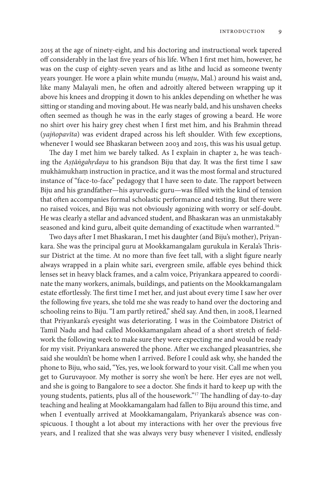2015 at the age of ninety-eight, and his doctoring and instructional work tapered off considerably in the last five years of his life. When I first met him, however, he was on the cusp of eighty-seven years and as lithe and lucid as someone twenty years younger. He wore a plain white mundu (*muṇṭu*, Mal.) around his waist and, like many Malayali men, he often and adroitly altered between wrapping up it above his knees and dropping it down to his ankles depending on whether he was sitting or standing and moving about. He was nearly bald, and his unshaven cheeks often seemed as though he was in the early stages of growing a beard. He wore no shirt over his hairy grey chest when I first met him, and his Brahmin thread (*yajñopavīta*) was evident draped across his left shoulder. With few exceptions, whenever I would see Bhaskaran between 2003 and 2015, this was his usual getup.

The day I met him we barely talked. As I explain in chapter 2, he was teaching the *Aṣṭāṅgahṛdaya* to his grandson Biju that day. It was the first time I saw mukhāmukhaṃ instruction in practice, and it was the most formal and structured instance of "face-to-face" pedagogy that I have seen to date. The rapport between Biju and his grandfather—his ayurvedic guru—was filled with the kind of tension that often accompanies formal scholastic performance and testing. But there were no raised voices, and Biju was not obviously agonizing with worry or self-doubt. He was clearly a stellar and advanced student, and Bhaskaran was an unmistakably seasoned and kind guru, albeit quite demanding of exactitude when warranted.<sup>16</sup>

Two days after I met Bhaskaran, I met his daughter (and Biju's mother), Priyankara. She was the principal guru at Mookkamangalam gurukula in Kerala's Thrissur District at the time. At no more than five feet tall, with a slight figure nearly always wrapped in a plain white sari, evergreen smile, affable eyes behind thick lenses set in heavy black frames, and a calm voice, Priyankara appeared to coordinate the many workers, animals, buildings, and patients on the Mookkamangalam estate effortlessly. The first time I met her, and just about every time I saw her over the following five years, she told me she was ready to hand over the doctoring and schooling reins to Biju. "I am partly retired," she'd say. And then, in 2008, I learned that Priyankara's eyesight was deteriorating. I was in the Coimbatore District of Tamil Nadu and had called Mookkamangalam ahead of a short stretch of fieldwork the following week to make sure they were expecting me and would be ready for my visit. Priyankara answered the phone. After we exchanged pleasantries, she said she wouldn't be home when I arrived. Before I could ask why, she handed the phone to Biju, who said, "Yes, yes, we look forward to your visit. Call me when you get to Guruvayoor. My mother is sorry she won't be here. Her eyes are not well, and she is going to Bangalore to see a doctor. She finds it hard to keep up with the young students, patients, plus all of the housework."17 The handling of day-to-day teaching and healing at Mookkamangalam had fallen to Biju around this time, and when I eventually arrived at Mookkamangalam, Priyankara's absence was conspicuous. I thought a lot about my interactions with her over the previous five years, and I realized that she was always very busy whenever I visited, endlessly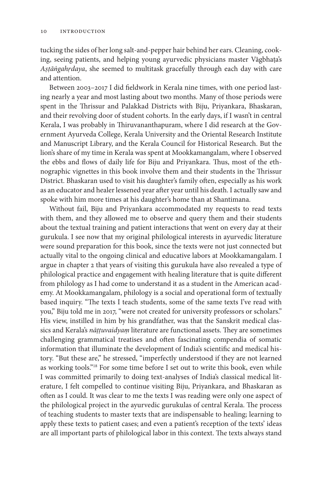tucking the sides of her long salt-and-pepper hair behind her ears. Cleaning, cooking, seeing patients, and helping young ayurvedic physicians master Vāgbhaṭa's *Aṣṭāṅgahṛdaya*, she seemed to multitask gracefully through each day with care and attention.

Between 2003–2017 I did fieldwork in Kerala nine times, with one period lasting nearly a year and most lasting about two months. Many of those periods were spent in the Thrissur and Palakkad Districts with Biju, Priyankara, Bhaskaran, and their revolving door of student cohorts. In the early days, if I wasn't in central Kerala, I was probably in Thiruvananthapuram, where I did research at the Government Ayurveda College, Kerala University and the Oriental Research Institute and Manuscript Library, and the Kerala Council for Historical Research. But the lion's share of my time in Kerala was spent at Mookkamangalam, where I observed the ebbs and flows of daily life for Biju and Priyankara. Thus, most of the ethnographic vignettes in this book involve them and their students in the Thrissur District. Bhaskaran used to visit his daughter's family often, especially as his work as an educator and healer lessened year after year until his death. I actually saw and spoke with him more times at his daughter's home than at Shantimana.

Without fail, Biju and Priyankara accommodated my requests to read texts with them, and they allowed me to observe and query them and their students about the textual training and patient interactions that went on every day at their gurukula. I see now that my original philological interests in ayurvedic literature were sound preparation for this book, since the texts were not just connected but actually vital to the ongoing clinical and educative labors at Mookkamangalam. I argue in chapter 2 that years of visiting this gurukula have also revealed a type of philological practice and engagement with healing literature that is quite different from philology as I had come to understand it as a student in the American academy. At Mookkamangalam, philology is a social and operational form of textually based inquiry. "The texts I teach students, some of the same texts I've read with you," Biju told me in 2017, "were not created for university professors or scholars." His view, instilled in him by his grandfather, was that the Sanskrit medical classics and Kerala's *nāṭṭuvaidyaṃ* literature are functional assets. They are sometimes challenging grammatical treatises and often fascinating compendia of somatic information that illuminate the development of India's scientific and medical history. "But these are," he stressed, "imperfectly understood if they are not learned as working tools."18 For some time before I set out to write this book, even while I was committed primarily to doing text-analyses of India's classical medical literature, I felt compelled to continue visiting Biju, Priyankara, and Bhaskaran as often as I could. It was clear to me the texts I was reading were only one aspect of the philological project in the ayurvedic gurukulas of central Kerala. The process of teaching students to master texts that are indispensable to healing; learning to apply these texts to patient cases; and even a patient's reception of the texts' ideas are all important parts of philological labor in this context. The texts always stand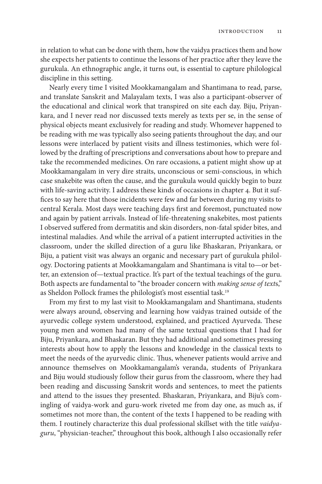in relation to what can be done with them, how the vaidya practices them and how she expects her patients to continue the lessons of her practice after they leave the gurukula. An ethnographic angle, it turns out, is essential to capture philological discipline in this setting.

Nearly every time I visited Mookkamangalam and Shantimana to read, parse, and translate Sanskrit and Malayalam texts, I was also a participant-observer of the educational and clinical work that transpired on site each day. Biju, Priyankara, and I never read nor discussed texts merely as texts per se, in the sense of physical objects meant exclusively for reading and study. Whomever happened to be reading with me was typically also seeing patients throughout the day, and our lessons were interlaced by patient visits and illness testimonies, which were followed by the drafting of prescriptions and conversations about how to prepare and take the recommended medicines. On rare occasions, a patient might show up at Mookkamangalam in very dire straits, unconscious or semi-conscious, in which case snakebite was often the cause, and the gurukula would quickly begin to buzz with life-saving activity. I address these kinds of occasions in chapter 4. But it suffices to say here that those incidents were few and far between during my visits to central Kerala. Most days were teaching days first and foremost, punctuated now and again by patient arrivals. Instead of life-threatening snakebites, most patients I observed suffered from dermatitis and skin disorders, non-fatal spider bites, and intestinal maladies. And while the arrival of a patient interrupted activities in the classroom, under the skilled direction of a guru like Bhaskaran, Priyankara, or Biju, a patient visit was always an organic and necessary part of gurukula philology. Doctoring patients at Mookkamangalam and Shantimana is vital to—or better, an extension of—textual practice. It's part of the textual teachings of the guru. Both aspects are fundamental to "the broader concern with *making sense of text*s," as Sheldon Pollock frames the philologist's most essential task.19

From my first to my last visit to Mookkamangalam and Shantimana, students were always around, observing and learning how vaidyas trained outside of the ayurvedic college system understood, explained, and practiced Ayurveda. These young men and women had many of the same textual questions that I had for Biju, Priyankara, and Bhaskaran. But they had additional and sometimes pressing interests about how to apply the lessons and knowledge in the classical texts to meet the needs of the ayurvedic clinic. Thus, whenever patients would arrive and announce themselves on Mookkamangalam's veranda, students of Priyankara and Biju would studiously follow their gurus from the classroom, where they had been reading and discussing Sanskrit words and sentences, to meet the patients and attend to the issues they presented. Bhaskaran, Priyankara, and Biju's comingling of vaidya-work and guru-work riveted me from day one, as much as, if sometimes not more than, the content of the texts I happened to be reading with them. I routinely characterize this dual professional skillset with the title *vaidyaguru*, "physician-teacher," throughout this book, although I also occasionally refer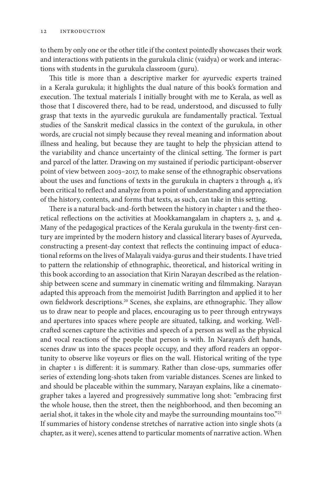to them by only one or the other title if the context pointedly showcases their work and interactions with patients in the gurukula clinic (vaidya) or work and interactions with students in the gurukula classroom (guru).

This title is more than a descriptive marker for ayurvedic experts trained in a Kerala gurukula; it highlights the dual nature of this book's formation and execution. The textual materials I initially brought with me to Kerala, as well as those that I discovered there, had to be read, understood, and discussed to fully grasp that texts in the ayurvedic gurukula are fundamentally practical. Textual studies of the Sanskrit medical classics in the context of the gurukula, in other words, are crucial not simply because they reveal meaning and information about illness and healing, but because they are taught to help the physician attend to the variability and chance uncertainty of the clinical setting. The former is part and parcel of the latter. Drawing on my sustained if periodic participant-observer point of view between 2003–2017, to make sense of the ethnographic observations about the uses and functions of texts in the gurukula in chapters 2 through 4, it's been critical to reflect and analyze from a point of understanding and appreciation of the history, contents, and forms that texts, as such, can take in this setting.

There is a natural back-and-forth between the history in chapter 1 and the theoretical reflections on the activities at Mookkamangalam in chapters 2, 3, and 4. Many of the pedagogical practices of the Kerala gurukula in the twenty-first century are imprinted by the modern history and classical literary bases of Ayurveda, constructing a present-day context that reflects the continuing impact of educational reforms on the lives of Malayali vaidya-gurus and their students. I have tried to pattern the relationship of ethnographic, theoretical, and historical writing in this book according to an association that Kirin Narayan described as the relationship between scene and summary in cinematic writing and filmmaking. Narayan adapted this approach from the memoirist Judith Barrington and applied it to her own fieldwork descriptions.20 Scenes, she explains, are ethnographic. They allow us to draw near to people and places, encouraging us to peer through entryways and apertures into spaces where people are situated, talking, and working. Wellcrafted scenes capture the activities and speech of a person as well as the physical and vocal reactions of the people that person is with. In Narayan's deft hands, scenes draw us into the spaces people occupy, and they afford readers an opportunity to observe like voyeurs or flies on the wall. Historical writing of the type in chapter 1 is different: it is summary. Rather than close-ups, summaries offer series of extending long-shots taken from variable distances. Scenes are linked to and should be placeable within the summary, Narayan explains, like a cinematographer takes a layered and progressively summative long shot: "embracing first the whole house, then the street, then the neighborhood, and then becoming an aerial shot, it takes in the whole city and maybe the surrounding mountains too."<sup>21</sup> If summaries of history condense stretches of narrative action into single shots (a chapter, as it were), scenes attend to particular moments of narrative action. When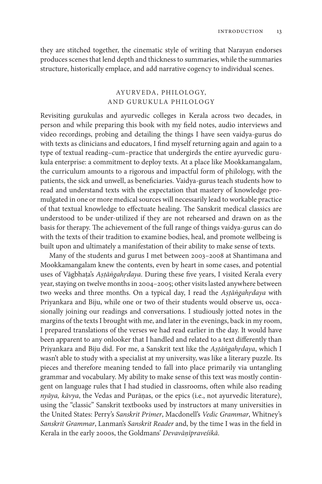they are stitched together, the cinematic style of writing that Narayan endorses produces scenes that lend depth and thickness to summaries, while the summaries structure, historically emplace, and add narrative cogency to individual scenes.

# AYURVEDA, PHILOLO GY, AND GURUKULA PHILOLOGY

Revisiting gurukulas and ayurvedic colleges in Kerala across two decades, in person and while preparing this book with my field notes, audio interviews and video recordings, probing and detailing the things I have seen vaidya-gurus do with texts as clinicians and educators, I find myself returning again and again to a type of textual reading–cum–practice that undergirds the entire ayurvedic gurukula enterprise: a commitment to deploy texts. At a place like Mookkamangalam, the curriculum amounts to a rigorous and impactful form of philology, with the patients, the sick and unwell, as beneficiaries. Vaidya-gurus teach students how to read and understand texts with the expectation that mastery of knowledge promulgated in one or more medical sources will necessarily lead to workable practice of that textual knowledge to effectuate healing. The Sanskrit medical classics are understood to be under-utilized if they are not rehearsed and drawn on as the basis for therapy. The achievement of the full range of things vaidya-gurus can do with the texts of their tradition to examine bodies, heal, and promote wellbeing is built upon and ultimately a manifestation of their ability to make sense of texts.

Many of the students and gurus I met between 2003–2008 at Shantimana and Mookkamangalam knew the contents, even by heart in some cases, and potential uses of Vāgbhaṭa's *Aṣṭāṅgahṛdaya*. During these five years, I visited Kerala every year, staying on twelve months in 2004–2005; other visits lasted anywhere between two weeks and three months. On a typical day, I read the *Aṣṭāṅgahṛdaya* with Priyankara and Biju, while one or two of their students would observe us, occasionally joining our readings and conversations. I studiously jotted notes in the margins of the texts I brought with me, and later in the evenings, back in my room, I prepared translations of the verses we had read earlier in the day. It would have been apparent to any onlooker that I handled and related to a text differently than Priyankara and Biju did. For me, a Sanskrit text like the *Aṣṭāṅgahṛdaya*, which I wasn't able to study with a specialist at my university, was like a literary puzzle. Its pieces and therefore meaning tended to fall into place primarily via untangling grammar and vocabulary. My ability to make sense of this text was mostly contingent on language rules that I had studied in classrooms, often while also reading *nyāya, kāvya*, the Vedas and Purāṇas, or the epics (i.e., not ayurvedic literature), using the "classic" Sanskrit textbooks used by instructors at many universities in the United States: Perry's *Sanskrit Primer*, Macdonell's *Vedic Grammar*, Whitney's *Sanskrit Grammar*, Lanman's *Sanskrit Reader* and, by the time I was in the field in Kerala in the early 2000s, the Goldmans' *Devavāṇīpraveśikā*.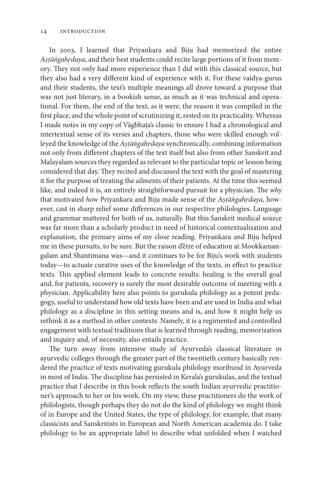In 2003, I learned that Priyankara and Biju had memorized the entire *Aṣṭāṅgahṛdaya*, and their best students could recite large portions of it from memory. They not only had more experience than I did with this classical source, but they also had a very different kind of experience with it. For these vaidya-gurus and their students, the text's multiple meanings all drove toward a purpose that was not just literary, in a bookish sense, as much as it was technical and operational. For them, the end of the text, as it were, the reason it was compiled in the first place, and the whole point of scrutinizing it, rested on its practicality. Whereas I made notes in my copy of Vāgbhaṭa's classic to ensure I had a chronological and intertextual sense of its verses and chapters, those who were skilled enough volleyed the knowledge of the *Aṣṭāṅgahṛdaya* synchronically, combining information not only from different chapters of the text itself but also from other Sanskrit and Malayalam sources they regarded as relevant to the particular topic or lesson being considered that day. They recited and discussed the text with the goal of mastering it for the purpose of treating the ailments of their patients. At the time this seemed like, and indeed it is, an entirely straightforward pursuit for a physician. The *why*  that motivated *how* Priyankara and Biju made sense of the *Aṣṭāṅgahṛdaya*, however, cast in sharp relief some differences in our respective philologies. Language and grammar mattered for both of us, naturally. But this Sanskrit medical source was far more than a scholarly product in need of historical contextualization and explanation, the primary aims of my close reading. Priyankara and Biju helped me in these pursuits, to be sure. But the raison d'être of education at Mookkamangalam and Shantimana was—and it continues to be for Biju's work with students today—to actuate curative uses of the knowledge of the texts, in effect to practice texts. This applied element leads to concrete results: healing is the overall goal and, for patients, recovery is surely the most desirable outcome of meeting with a physician. Applicability here also points to gurukula philology as a potent pedagogy, useful to understand how old texts have been and are used in India and what philology as a discipline in this setting means and is, and how it might help us rethink it as a method in other contexts. Namely, it is a regimented and controlled engagement with textual traditions that is learned through reading, memorization and inquiry and, of necessity, also entails practice.

The turn away from intensive study of Ayurveda's classical literature in ayurvedic colleges through the greater part of the twentieth century basically rendered the practice of texts motivating gurukula philology moribund in Ayurveda in most of India. The discipline has persisted in Kerala's gurukulas, and the textual practice that I describe in this book reflects the south Indian ayurvedic practitioner's approach to her or his work. On my view, these practitioners do the work of philologists, though perhaps they do not do the kind of philology we might think of in Europe and the United States, the type of philology, for example, that many classicists and Sanskritists in European and North American academia do. I take philology to be an appropriate label to describe what unfolded when I watched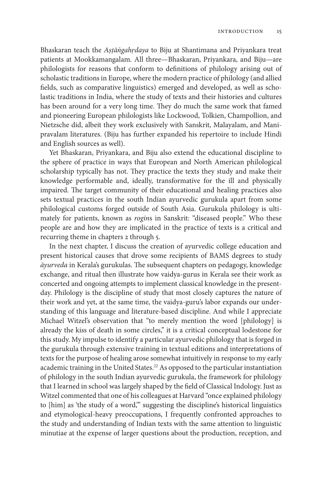Bhaskaran teach the *Aṣṭāṅgahṛdaya* to Biju at Shantimana and Priyankara treat patients at Mookkamangalam. All three—Bhaskaran, Priyankara, and Biju—are philologists for reasons that conform to definitions of philology arising out of scholastic traditions in Europe, where the modern practice of philology (and allied fields, such as comparative linguistics) emerged and developed, as well as scholastic traditions in India, where the study of texts and their histories and cultures has been around for a very long time. They do much the same work that famed and pioneering European philologists like Lockwood, Tolkien, Champollion, and Nietzsche did, albeit they work exclusively with Sanskrit, Malayalam, and Manipravalam literatures. (Biju has further expanded his repertoire to include Hindi and English sources as well).

Yet Bhaskaran, Priyankara, and Biju also extend the educational discipline to the sphere of practice in ways that European and North American philological scholarship typically has not. They practice the texts they study and make their knowledge performable and, ideally, transformative for the ill and physically impaired. The target community of their educational and healing practices also sets textual practices in the south Indian ayurvedic gurukula apart from some philological customs forged outside of South Asia. Gurukula philology is ultimately for patients, known as *rogin*s in Sanskrit: "diseased people." Who these people are and how they are implicated in the practice of texts is a critical and recurring theme in chapters 2 through 5.

In the next chapter, I discuss the creation of ayurvedic college education and present historical causes that drove some recipients of BAMS degrees to study *āyurveda* in Kerala's gurukulas. The subsequent chapters on pedagogy, knowledge exchange, and ritual then illustrate how vaidya-gurus in Kerala see their work as concerted and ongoing attempts to implement classical knowledge in the presentday. Philology is the discipline of study that most closely captures the nature of their work and yet, at the same time, the vaidya-guru's labor expands our understanding of this language and literature-based discipline. And while I appreciate Michael Witzel's observation that "to merely mention the word [philology] is already the kiss of death in some circles," it is a critical conceptual lodestone for this study. My impulse to identify a particular ayurvedic philology that is forged in the gurukula through extensive training in textual editions and interpretations of texts for the purpose of healing arose somewhat intuitively in response to my early academic training in the United States.<sup>22</sup> As opposed to the particular instantiation of philology in the south Indian ayurvedic gurukula, the framework for philology that I learned in school was largely shaped by the field of Classical Indology. Just as Witzel commented that one of his colleagues at Harvard "once explained philology to [him] as 'the study of a word,'" suggesting the discipline's historical linguistics and etymological-heavy preoccupations, I frequently confronted approaches to the study and understanding of Indian texts with the same attention to linguistic minutiae at the expense of larger questions about the production, reception, and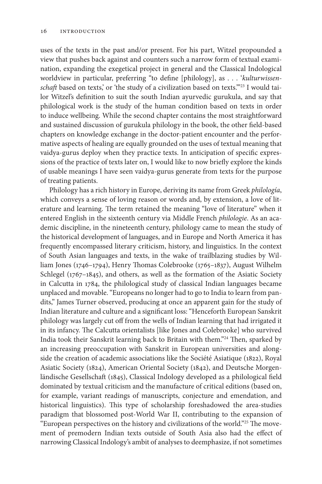uses of the texts in the past and/or present. For his part, Witzel propounded a view that pushes back against and counters such a narrow form of textual examination, expanding the exegetical project in general and the Classical Indological worldview in particular, preferring "to define [philology], as . . . '*kulturwissen*schaft based on texts,' or 'the study of a civilization based on texts."<sup>23</sup> I would tailor Witzel's definition to suit the south Indian ayurvedic gurukula, and say that philological work is the study of the human condition based on texts in order to induce wellbeing. While the second chapter contains the most straightforward and sustained discussion of gurukula philology in the book, the other field-based chapters on knowledge exchange in the doctor-patient encounter and the performative aspects of healing are equally grounded on the uses of textual meaning that vaidya-gurus deploy when they practice texts. In anticipation of specific expressions of the practice of texts later on, I would like to now briefly explore the kinds of usable meanings I have seen vaidya-gurus generate from texts for the purpose of treating patients.

Philology has a rich history in Europe, deriving its name from Greek *philología*, which conveys a sense of loving reason or words and, by extension, a love of literature and learning. The term retained the meaning "love of literature" when it entered English in the sixteenth century via Middle French *philologie*. As an academic discipline, in the nineteenth century, philology came to mean the study of the historical development of languages, and in Europe and North America it has frequently encompassed literary criticism, history, and linguistics. In the context of South Asian languages and texts, in the wake of trailblazing studies by William Jones (1746–1794), Henry Thomas Colebrooke (1765–1837), August Wilhelm Schlegel (1767-1845), and others, as well as the formation of the Asiatic Society in Calcutta in 1784, the philological study of classical Indian languages became unplaced and movable. "Europeans no longer had to go to India to learn from pandits," James Turner observed, producing at once an apparent gain for the study of Indian literature and culture and a significant loss: "Henceforth European Sanskrit philology was largely cut off from the wells of Indian learning that had irrigated it in its infancy. The Calcutta orientalists [like Jones and Colebrooke] who survived India took their Sanskrit learning back to Britain with them."24 Then, sparked by an increasing preoccupation with Sanskrit in European universities and alongside the creation of academic associations like the Société Asiatique (1822), Royal Asiatic Society (1824), American Oriental Society (1842), and Deutsche Morgenländische Gesellschaft (1845), Classical Indology developed as a philological field dominated by textual criticism and the manufacture of critical editions (based on, for example, variant readings of manuscripts, conjecture and emendation, and historical linguistics). This type of scholarship foreshadowed the area-studies paradigm that blossomed post-World War II, contributing to the expansion of "European perspectives on the history and civilizations of the world."25 The movement of premodern Indian texts outside of South Asia also had the effect of narrowing Classical Indology's ambit of analyses to deemphasize, if not sometimes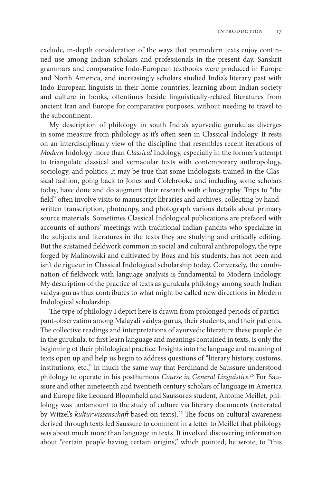exclude, in-depth consideration of the ways that premodern texts enjoy continued use among Indian scholars and professionals in the present day. Sanskrit grammars and comparative Indo-European textbooks were produced in Europe and North America, and increasingly scholars studied India's literary past with Indo-European linguists in their home countries, learning about Indian society and culture in books, oftentimes beside linguistically-related literatures from ancient Iran and Europe for comparative purposes, without needing to travel to the subcontinent.

My description of philology in south India's ayurvedic gurukulas diverges in some measure from philology as it's often seen in Classical Indology. It rests on an interdisciplinary view of the discipline that resembles recent iterations of *Modern* Indology more than *Classical* Indology, especially in the former's attempt to triangulate classical and vernacular texts with contemporary anthropology, sociology, and politics. It may be true that some Indologists trained in the Classical fashion, going back to Jones and Colebrooke and including some scholars today, have done and do augment their research with ethnography. Trips to "the field" often involve visits to manuscript libraries and archives, collecting by handwritten transcription, photocopy, and photograph various details about primary source materials. Sometimes Classical Indological publications are prefaced with accounts of authors' meetings with traditional Indian pandits who specialize in the subjects and literatures in the texts they are studying and critically editing. But the sustained fieldwork common in social and cultural anthropology, the type forged by Malinowski and cultivated by Boas and his students, has not been and isn't de rigueur in Classical Indological scholarship today. Conversely, the combination of fieldwork with language analysis is fundamental to Modern Indology. My description of the practice of texts as gurukula philology among south Indian vaidya-gurus thus contributes to what might be called new directions in Modern Indological scholarship.

The type of philology I depict here is drawn from prolonged periods of participant-observation among Malayali vaidya-gurus, their students, and their patients. The collective readings and interpretations of ayurvedic literature these people do in the gurukula, to first learn language and meanings contained in texts, is only the beginning of their philological practice. Insights into the language and meaning of texts open up and help us begin to address questions of "literary history, customs, institutions, etc.," in much the same way that Ferdinand de Saussure understood philology to operate in his posthumous *Course in General Linguistics*. 26 For Saussure and other nineteenth and twentieth century scholars of language in America and Europe like Leonard Bloomfield and Saussure's student, Antoine Meillet, philology was tantamount to the study of culture via literary documents (reiterated by Witzel's *kulturwissenschaft* based on texts).27 The focus on cultural awareness derived through texts led Saussure to comment in a letter to Meillet that philology was about much more than language in texts. It involved discovering information about "certain people having certain origins," which pointed, he wrote, to "this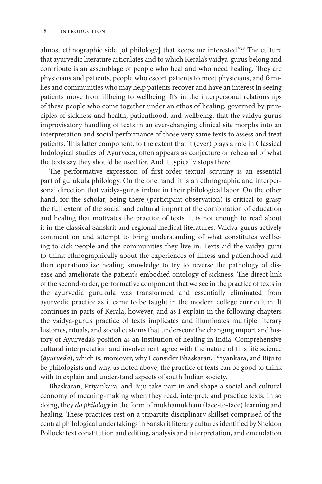almost ethnographic side [of philology] that keeps me interested."28 The culture that ayurvedic literature articulates and to which Kerala's vaidya-gurus belong and contribute is an assemblage of people who heal and who need healing. They are physicians and patients, people who escort patients to meet physicians, and families and communities who may help patients recover and have an interest in seeing patients move from illbeing to wellbeing. It's in the interpersonal relationships of these people who come together under an ethos of healing, governed by principles of sickness and health, patienthood, and wellbeing, that the vaidya-guru's improvisatory handling of texts in an ever-changing clinical site morphs into an interpretation and social performance of those very same texts to assess and treat patients. This latter component, to the extent that it (ever) plays a role in Classical Indological studies of Ayurveda, often appears as conjecture or rehearsal of what the texts say they should be used for. And it typically stops there.

The performative expression of first-order textual scrutiny is an essential part of gurukula philology. On the one hand, it is an ethnographic and interpersonal direction that vaidya-gurus imbue in their philological labor. On the other hand, for the scholar, being there (participant-observation) is critical to grasp the full extent of the social and cultural import of the combination of education and healing that motivates the practice of texts. It is not enough to read about it in the classical Sanskrit and regional medical literatures. Vaidya-gurus actively comment on and attempt to bring understanding of what constitutes wellbeing to sick people and the communities they live in. Texts aid the vaidya-guru to think ethnographically about the experiences of illness and patienthood and then operationalize healing knowledge to try to reverse the pathology of disease and ameliorate the patient's embodied ontology of sickness. The direct link of the second-order, performative component that we see in the practice of texts in the ayurvedic gurukula was transformed and essentially eliminated from ayurvedic practice as it came to be taught in the modern college curriculum. It continues in parts of Kerala, however, and as I explain in the following chapters the vaidya-guru's practice of texts implicates and illuminates multiple literary histories, rituals, and social customs that underscore the changing import and history of Ayurveda's position as an institution of healing in India. Comprehensive cultural interpretation and involvement agree with the nature of this life science (*āyurveda*), which is, moreover, why I consider Bhaskaran, Priyankara, and Biju to be philologists and why, as noted above, the practice of texts can be good to think with to explain and understand aspects of south Indian society.

Bhaskaran, Priyankara, and Biju take part in and shape a social and cultural economy of meaning-making when they read, interpret, and practice texts. In so doing, they *do philology* in the form of mukhāmukhaṃ (face-to-face) learning and healing. These practices rest on a tripartite disciplinary skillset comprised of the central philological undertakings in Sanskrit literary cultures identified by Sheldon Pollock: text constitution and editing, analysis and interpretation, and emendation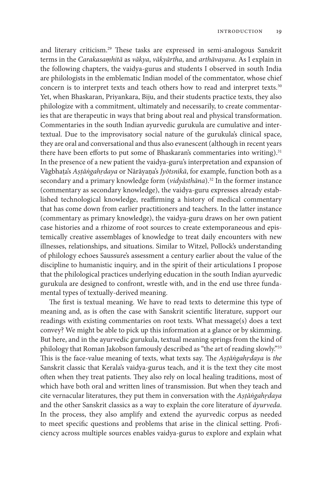and literary criticism.29 These tasks are expressed in semi-analogous Sanskrit terms in the *Carakasaṃhitā* as *vākya*, *vākyārtha*, and *arthāvayava*. As I explain in the following chapters, the vaidya-gurus and students I observed in south India are philologists in the emblematic Indian model of the commentator, whose chief concern is to interpret texts and teach others how to read and interpret texts.30 Yet, when Bhaskaran, Priyankara, Biju, and their students practice texts, they also philologize with a commitment, ultimately and necessarily, to create commentaries that are therapeutic in ways that bring about real and physical transformation. Commentaries in the south Indian ayurvedic gurukula are cumulative and intertextual. Due to the improvisatory social nature of the gurukula's clinical space, they are oral and conversational and thus also evanescent (although in recent years there have been efforts to put some of Bhaskaran's commentaries into writing).<sup>31</sup> In the presence of a new patient the vaidya-guru's interpretation and expansion of Vāgbhaṭa's *Aṣṭāṅgahṛdaya* or Nārāyaṇa's *Jyōtsnikā*, for example, function both as a secondary and a primary knowledge form (*vidyāsthāna*).<sup>32</sup> In the former instance (commentary as secondary knowledge), the vaidya-guru expresses already established technological knowledge, reaffirming a history of medical commentary that has come down from earlier practitioners and teachers. In the latter instance (commentary as primary knowledge), the vaidya-guru draws on her own patient case histories and a rhizome of root sources to create extemporaneous and epistemically creative assemblages of knowledge to treat daily encounters with new illnesses, relationships, and situations. Similar to Witzel, Pollock's understanding of philology echoes Saussure's assessment a century earlier about the value of the discipline to humanistic inquiry, and in the spirit of their articulations I propose that the philological practices underlying education in the south Indian ayurvedic gurukula are designed to confront, wrestle with, and in the end use three fundamental types of textually-derived meaning.

The first is textual meaning. We have to read texts to determine this type of meaning and, as is often the case with Sanskrit scientific literature, support our readings with existing commentaries on root texts. What message(s) does a text convey? We might be able to pick up this information at a glance or by skimming. But here, and in the ayurvedic gurukula, textual meaning springs from the kind of philology that Roman Jakobson famously described as "the art of reading slowly."<sup>33</sup> This is the face-value meaning of texts, what texts say. The *Aṣṭāṅgahṛdaya* is *the* Sanskrit classic that Kerala's vaidya-gurus teach, and it is the text they cite most often when they treat patients. They also rely on local healing traditions, most of which have both oral and written lines of transmission. But when they teach and cite vernacular literatures, they put them in conversation with the *Aṣṭāṅgahṛdaya*  and the other Sanskrit classics as a way to explain the core literature of *āyurveda*. In the process, they also amplify and extend the ayurvedic corpus as needed to meet specific questions and problems that arise in the clinical setting. Proficiency across multiple sources enables vaidya-gurus to explore and explain what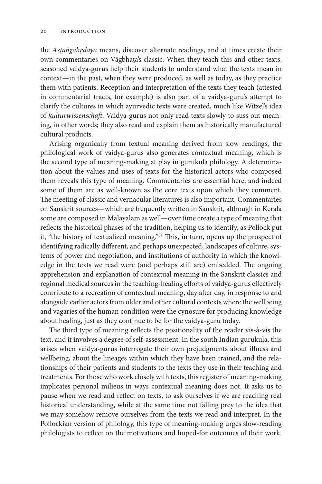the *Aṣṭāṅgahṛdaya* means, discover alternate readings, and at times create their own commentaries on Vāgbhaṭa's classic. When they teach this and other texts, seasoned vaidya-gurus help their students to understand what the texts mean in context—in the past, when they were produced, as well as today, as they practice them with patients. Reception and interpretation of the texts they teach (attested in commentarial tracts, for example) is also part of a vaidya-guru's attempt to clarify the cultures in which ayurvedic texts were created, much like Witzel's idea of *kulturwissenschaft*. Vaidya-gurus not only read texts slowly to suss out meaning, in other words; they also read and explain them as historically manufactured cultural products.

Arising organically from textual meaning derived from slow readings, the philological work of vaidya-gurus also generates contextual meaning, which is the second type of meaning-making at play in gurukula philology. A determination about the values and uses of texts for the historical actors who composed them reveals this type of meaning. Commentaries are essential here, and indeed some of them are as well-known as the core texts upon which they comment. The meeting of classic and vernacular literatures is also important. Commentaries on Sanskrit sources—which are frequently written in Sanskrit, although in Kerala some are composed in Malayalam as well—over time create a type of meaning that reflects the historical phases of the tradition, helping us to identify, as Pollock put it, "the history of textualized meaning."34 This, in turn, opens up the prospect of identifying radically different, and perhaps unexpected, landscapes of culture, systems of power and negotiation, and institutions of authority in which the knowledge in the texts we read were (and perhaps still are) embedded. The ongoing apprehension and explanation of contextual meaning in the Sanskrit classics and regional medical sources in the teaching-healing efforts of vaidya-gurus effectively contribute to a recreation of contextual meaning, day after day, in response to and alongside earlier actors from older and other cultural contexts where the wellbeing and vagaries of the human condition were the cynosure for producing knowledge about healing, just as they continue to be for the vaidya-guru today.

The third type of meaning reflects the positionality of the reader vis-à-vis the text, and it involves a degree of self-assessment. In the south Indian gurukula, this arises when vaidya-gurus interrogate their own prejudgments about illness and wellbeing, about the lineages within which they have been trained, and the relationships of their patients and students to the texts they use in their teaching and treatments. For those who work closely with texts, this register of meaning-making implicates personal milieus in ways contextual meaning does not. It asks us to pause when we read and reflect on texts, to ask ourselves if we are reaching real historical understanding, while at the same time not falling prey to the idea that we may somehow remove ourselves from the texts we read and interpret. In the Pollockian version of philology, this type of meaning-making urges slow-reading philologists to reflect on the motivations and hoped-for outcomes of their work.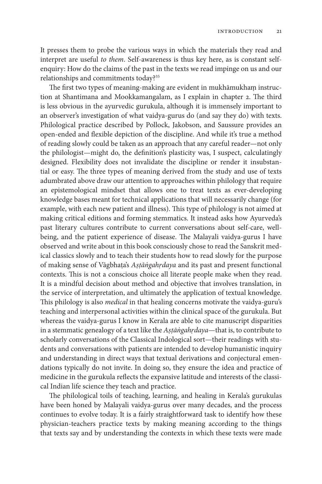It presses them to probe the various ways in which the materials they read and interpret are useful *to them*. Self-awareness is thus key here, as is constant selfenquiry: How do the claims of the past in the texts we read impinge on us and our relationships and commitments today?35

The first two types of meaning-making are evident in mukhāmukhaṃ instruction at Shantimana and Mookkamangalam, as I explain in chapter 2. The third is less obvious in the ayurvedic gurukula, although it is immensely important to an observer's investigation of what vaidya-gurus do (and say they do) with texts. Philological practice described by Pollock, Jakobson, and Saussure provides an open-ended and flexible depiction of the discipline. And while it's true a method of reading slowly could be taken as an approach that any careful reader—not only the philologist—might do, the definition's plasticity was, I suspect, calculatingly designed. Flexibility does not invalidate the discipline or render it insubstantial or easy. The three types of meaning derived from the study and use of texts adumbrated above draw our attention to approaches within philology that require an epistemological mindset that allows one to treat texts as ever-developing knowledge bases meant for technical applications that will necessarily change (for example, with each new patient and illness). This type of philology is not aimed at making critical editions and forming stemmatics. It instead asks how Ayurveda's past literary cultures contribute to current conversations about self-care, wellbeing, and the patient experience of disease. The Malayali vaidya-gurus I have observed and write about in this book consciously chose to read the Sanskrit medical classics slowly and to teach their students how to read slowly for the purpose of making sense of Vāgbhaṭa's *Aṣṭāṅgahṛdaya* and its past and present functional contexts. This is not a conscious choice all literate people make when they read. It is a mindful decision about method and objective that involves translation, in the service of interpretation, and ultimately the application of textual knowledge. This philology is also *medical* in that healing concerns motivate the vaidya-guru's teaching and interpersonal activities within the clinical space of the gurukula. But whereas the vaidya-gurus I know in Kerala are able to cite manuscript disparities in a stemmatic genealogy of a text like the *Aṣṭāṅgahṛdaya*—that is, to contribute to scholarly conversations of the Classical Indological sort—their readings with students and conversations with patients are intended to develop humanistic inquiry and understanding in direct ways that textual derivations and conjectural emendations typically do not invite. In doing so, they ensure the idea and practice of medicine in the gurukula reflects the expansive latitude and interests of the classical Indian life science they teach and practice.

The philological toils of teaching, learning, and healing in Kerala's gurukulas have been honed by Malayali vaidya-gurus over many decades, and the process continues to evolve today. It is a fairly straightforward task to identify how these physician-teachers practice texts by making meaning according to the things that texts say and by understanding the contexts in which these texts were made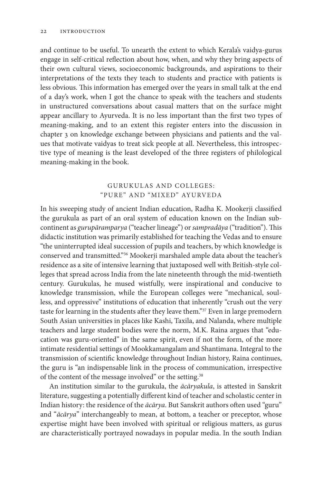and continue to be useful. To unearth the extent to which Kerala's vaidya-gurus engage in self-critical reflection about how, when, and why they bring aspects of their own cultural views, socioeconomic backgrounds, and aspirations to their interpretations of the texts they teach to students and practice with patients is less obvious. This information has emerged over the years in small talk at the end of a day's work, when I got the chance to speak with the teachers and students in unstructured conversations about casual matters that on the surface might appear ancillary to Ayurveda. It is no less important than the first two types of meaning-making, and to an extent this register enters into the discussion in chapter 3 on knowledge exchange between physicians and patients and the values that motivate vaidyas to treat sick people at all. Nevertheless, this introspective type of meaning is the least developed of the three registers of philological meaning-making in the book.

## GURUKULAS AND COLLEGES: "PURE" AND "MIXED" AYURVEDA

In his sweeping study of ancient Indian education, Radha K. Mookerji classified the gurukula as part of an oral system of education known on the Indian subcontinent as *gurupāramparya* ("teacher lineage") or *sampradāya* ("tradition"). This didactic institution was primarily established for teaching the Vedas and to ensure "the uninterrupted ideal succession of pupils and teachers, by which knowledge is conserved and transmitted."36 Mookerji marshaled ample data about the teacher's residence as a site of intensive learning that juxtaposed well with British-style colleges that spread across India from the late nineteenth through the mid-twentieth century. Gurukulas, he mused wistfully, were inspirational and conducive to knowledge transmission, while the European colleges were "mechanical, soulless, and oppressive" institutions of education that inherently "crush out the very taste for learning in the students after they leave them."<sup>37</sup> Even in large premodern South Asian universities in places like Kashi, Taxila, and Nalanda, where multiple teachers and large student bodies were the norm, M.K. Raina argues that "education was guru-oriented" in the same spirit, even if not the form, of the more intimate residential settings of Mookkamangalam and Shantimana. Integral to the transmission of scientific knowledge throughout Indian history, Raina continues, the guru is "an indispensable link in the process of communication, irrespective of the content of the message involved" or the setting.<sup>38</sup>

An institution similar to the gurukula, the *ācāryakula*, is attested in Sanskrit literature, suggesting a potentially different kind of teacher and scholastic center in Indian history: the residence of the *ācārya*. But Sanskrit authors often used "guru" and "*ācārya*" interchangeably to mean, at bottom, a teacher or preceptor, whose expertise might have been involved with spiritual or religious matters, as gurus are characteristically portrayed nowadays in popular media. In the south Indian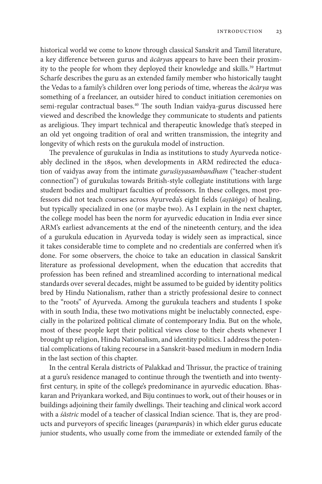historical world we come to know through classical Sanskrit and Tamil literature, a key difference between gurus and *ācārya*s appears to have been their proximity to the people for whom they deployed their knowledge and skills.<sup>39</sup> Hartmut Scharfe describes the guru as an extended family member who historically taught the Vedas to a family's children over long periods of time, whereas the *ācārya* was something of a freelancer, an outsider hired to conduct initiation ceremonies on semi-regular contractual bases.<sup>40</sup> The south Indian vaidya-gurus discussed here viewed and described the knowledge they communicate to students and patients as areligious. They impart technical and therapeutic knowledge that's steeped in an old yet ongoing tradition of oral and written transmission, the integrity and longevity of which rests on the gurukula model of instruction.

The prevalence of gurukulas in India as institutions to study Ayurveda noticeably declined in the 1890s, when developments in ARM redirected the education of vaidyas away from the intimate *guruśiṣyasambandham* ("teacher-student connection") of gurukulas towards British-style collegiate institutions with large student bodies and multipart faculties of professors. In these colleges, most professors did not teach courses across Ayurveda's eight fields (*aṣṭāṅga*) of healing, but typically specialized in one (or maybe two). As I explain in the next chapter, the college model has been the norm for ayurvedic education in India ever since ARM's earliest advancements at the end of the nineteenth century, and the idea of a gurukula education in Ayurveda today is widely seen as impractical, since it takes considerable time to complete and no credentials are conferred when it's done. For some observers, the choice to take an education in classical Sanskrit literature as professional development, when the education that accredits that profession has been refined and streamlined according to international medical standards over several decades, might be assumed to be guided by identity politics bred by Hindu Nationalism, rather than a strictly professional desire to connect to the "roots" of Ayurveda. Among the gurukula teachers and students I spoke with in south India, these two motivations might be ineluctably connected, especially in the polarized political climate of contemporary India. But on the whole, most of these people kept their political views close to their chests whenever I brought up religion, Hindu Nationalism, and identity politics. I address the potential complications of taking recourse in a Sanskrit-based medium in modern India in the last section of this chapter.

In the central Kerala districts of Palakkad and Thrissur, the practice of training at a guru's residence managed to continue through the twentieth and into twentyfirst century, in spite of the college's predominance in ayurvedic education. Bhaskaran and Priyankara worked, and Biju continues to work, out of their houses or in buildings adjoining their family dwellings. Their teaching and clinical work accord with a *śāstric* model of a teacher of classical Indian science. That is, they are products and purveyors of specific lineages (*paramparā*s) in which elder gurus educate junior students, who usually come from the immediate or extended family of the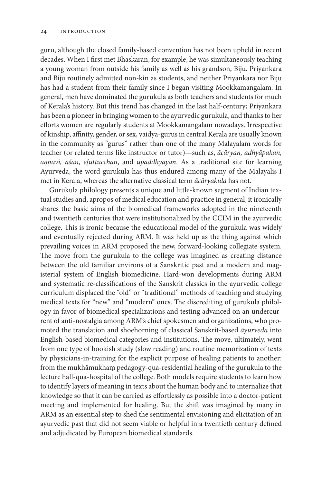guru, although the closed family-based convention has not been upheld in recent decades. When I first met Bhaskaran, for example, he was simultaneously teaching a young woman from outside his family as well as his grandson, Biju. Priyankara and Biju routinely admitted non-kin as students, and neither Priyankara nor Biju has had a student from their family since I began visiting Mookkamangalam. In general, men have dominated the gurukula as both teachers and students for much of Kerala's history. But this trend has changed in the last half-century; Priyankara has been a pioneer in bringing women to the ayurvedic gurukula, and thanks to her efforts women are regularly students at Mookkamangalam nowadays. Irrespective of kinship, affinity, gender, or sex, vaidya-gurus in central Kerala are usually known in the community as "gurus" rather than one of the many Malayalam words for teacher (or related terms like instructor or tutor)—such as, *ācāryan, adhyāpakan, aṇṇāvi, āśān, eḻuttucchan*, and *upāddhyāyan*. As a traditional site for learning Ayurveda, the word gurukula has thus endured among many of the Malayalis I met in Kerala, whereas the alternative classical term *ācāryakula* has not.

Gurukula philology presents a unique and little-known segment of Indian textual studies and, apropos of medical education and practice in general, it ironically shares the basic aims of the biomedical frameworks adopted in the nineteenth and twentieth centuries that were institutionalized by the CCIM in the ayurvedic college. This is ironic because the educational model of the gurukula was widely and eventually rejected during ARM. It was held up as the thing against which prevailing voices in ARM proposed the new, forward-looking collegiate system. The move from the gurukula to the college was imagined as creating distance between the old familiar environs of a Sanskritic past and a modern and magisterial system of English biomedicine. Hard-won developments during ARM and systematic re-classifications of the Sanskrit classics in the ayurvedic college curriculum displaced the "old" or "traditional" methods of teaching and studying medical texts for "new" and "modern" ones. The discrediting of gurukula philology in favor of biomedical specializations and testing advanced on an undercurrent of anti-nostalgia among ARM's chief spokesmen and organizations, who promoted the translation and shoehorning of classical Sanskrit-based *āyurveda* into English-based biomedical categories and institutions. The move, ultimately, went from one type of bookish study (slow reading) and routine memorization of texts by physicians-in-training for the explicit purpose of healing patients to another: from the mukhāmukhaṃ pedagogy-qua-residential healing of the gurukula to the lecture hall-qua-hospital of the college. Both models require students to learn how to identify layers of meaning in texts about the human body and to internalize that knowledge so that it can be carried as effortlessly as possible into a doctor-patient meeting and implemented for healing. But the shift was imagined by many in ARM as an essential step to shed the sentimental envisioning and elicitation of an ayurvedic past that did not seem viable or helpful in a twentieth century defined and adjudicated by European biomedical standards.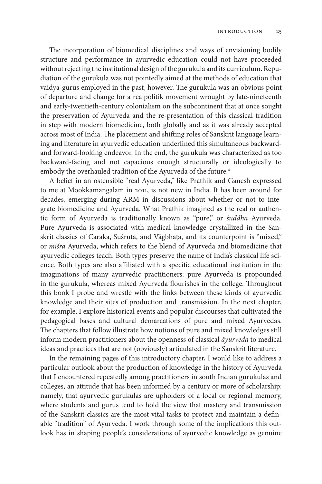The incorporation of biomedical disciplines and ways of envisioning bodily structure and performance in ayurvedic education could not have proceeded without rejecting the institutional design of the gurukula and its curriculum. Repudiation of the gurukula was not pointedly aimed at the methods of education that vaidya-gurus employed in the past, however. The gurukula was an obvious point of departure and change for a realpolitik movement wrought by late-nineteenth and early-twentieth-century colonialism on the subcontinent that at once sought the preservation of Ayurveda and the re-presentation of this classical tradition in step with modern biomedicine, both globally and as it was already accepted across most of India. The placement and shifting roles of Sanskrit language learning and literature in ayurvedic education underlined this simultaneous backwardand forward-looking endeavor. In the end, the gurukula was characterized as too backward-facing and not capacious enough structurally or ideologically to embody the overhauled tradition of the Ayurveda of the future.<sup>41</sup>

A belief in an ostensible "real Ayurveda," like Prathik and Ganesh expressed to me at Mookkamangalam in 2011, is not new in India. It has been around for decades, emerging during ARM in discussions about whether or not to integrate biomedicine and Ayurveda. What Prathik imagined as the real or authentic form of Ayurveda is traditionally known as "pure," or *śuddha* Ayurveda. Pure Ayurveda is associated with medical knowledge crystallized in the Sanskrit classics of Caraka, Suśruta, and Vāgbhaṭa, and its counterpoint is "mixed," or *miśra* Ayurveda, which refers to the blend of Ayurveda and biomedicine that ayurvedic colleges teach. Both types preserve the name of India's classical life science. Both types are also affiliated with a specific educational institution in the imaginations of many ayurvedic practitioners: pure Ayurveda is propounded in the gurukula, whereas mixed Ayurveda flourishes in the college. Throughout this book I probe and wrestle with the links between these kinds of ayurvedic knowledge and their sites of production and transmission. In the next chapter, for example, I explore historical events and popular discourses that cultivated the pedagogical bases and cultural demarcations of pure and mixed Ayurvedas. The chapters that follow illustrate how notions of pure and mixed knowledges still inform modern practitioners about the openness of classical *āyurveda* to medical ideas and practices that are not (obviously) articulated in the Sanskrit literature.

In the remaining pages of this introductory chapter, I would like to address a particular outlook about the production of knowledge in the history of Ayurveda that I encountered repeatedly among practitioners in south Indian gurukulas and colleges, an attitude that has been informed by a century or more of scholarship: namely, that ayurvedic gurukulas are upholders of a local or regional memory, where students and gurus tend to hold the view that mastery and transmission of the Sanskrit classics are the most vital tasks to protect and maintain a definable "tradition" of Ayurveda. I work through some of the implications this outlook has in shaping people's considerations of ayurvedic knowledge as genuine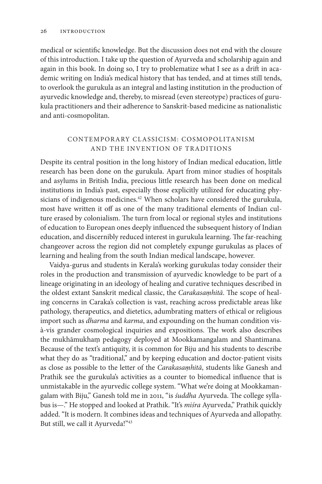medical or scientific knowledge. But the discussion does not end with the closure of this introduction. I take up the question of Ayurveda and scholarship again and again in this book. In doing so, I try to problematize what I see as a drift in academic writing on India's medical history that has tended, and at times still tends, to overlook the gurukula as an integral and lasting institution in the production of ayurvedic knowledge and, thereby, to misread (even stereotype) practices of gurukula practitioners and their adherence to Sanskrit-based medicine as nationalistic and anti-cosmopolitan.

## CONTEMPORARY CL ASSICISM: COSMOPOLITANISM AND THE INVENTION OF TRADITIONS

Despite its central position in the long history of Indian medical education, little research has been done on the gurukula. Apart from minor studies of hospitals and asylums in British India, precious little research has been done on medical institutions in India's past, especially those explicitly utilized for educating physicians of indigenous medicines.<sup>42</sup> When scholars have considered the gurukula, most have written it off as one of the many traditional elements of Indian culture erased by colonialism. The turn from local or regional styles and institutions of education to European ones deeply influenced the subsequent history of Indian education, and discernibly reduced interest in gurukula learning. The far-reaching changeover across the region did not completely expunge gurukulas as places of learning and healing from the south Indian medical landscape, however.

Vaidya-gurus and students in Kerala's working gurukulas today consider their roles in the production and transmission of ayurvedic knowledge to be part of a lineage originating in an ideology of healing and curative techniques described in the oldest extant Sanskrit medical classic, the *Carakasaṃhitā*. The scope of healing concerns in Caraka's collection is vast, reaching across predictable areas like pathology, therapeutics, and dietetics, adumbrating matters of ethical or religious import such as *dharma* and *karma*, and expounding on the human condition visà-vis grander cosmological inquiries and expositions. The work also describes the mukhāmukhaṃ pedagogy deployed at Mookkamangalam and Shantimana. Because of the text's antiquity, it is common for Biju and his students to describe what they do as "traditional," and by keeping education and doctor-patient visits as close as possible to the letter of the *Carakasaṃhitā*, students like Ganesh and Prathik see the gurukula's activities as a counter to biomedical influence that is unmistakable in the ayurvedic college system. "What we're doing at Mookkamangalam with Biju," Ganesh told me in 2011, "is *śuddha* Ayurveda. The college syllabus is—." He stopped and looked at Prathik. "It's *miśra* Ayurveda," Prathik quickly added. "It is modern. It combines ideas and techniques of Ayurveda and allopathy. But still, we call it Ayurveda!"<sup>43</sup>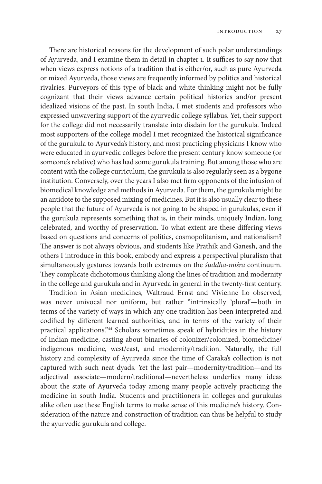There are historical reasons for the development of such polar understandings of Ayurveda, and I examine them in detail in chapter 1. It suffices to say now that when views express notions of a tradition that is either/or, such as pure Ayurveda or mixed Ayurveda, those views are frequently informed by politics and historical rivalries. Purveyors of this type of black and white thinking might not be fully cognizant that their views advance certain political histories and/or present idealized visions of the past. In south India, I met students and professors who expressed unwavering support of the ayurvedic college syllabus. Yet, their support for the college did not necessarily translate into disdain for the gurukula. Indeed most supporters of the college model I met recognized the historical significance of the gurukula to Ayurveda's history, and most practicing physicians I know who were educated in ayurvedic colleges before the present century know someone (or someone's relative) who has had some gurukula training. But among those who are content with the college curriculum, the gurukula is also regularly seen as a bygone institution. Conversely, over the years I also met firm opponents of the infusion of biomedical knowledge and methods in Ayurveda. For them, the gurukula might be an antidote to the supposed mixing of medicines. But it is also usually clear to these people that the future of Ayurveda is not going to be shaped in gurukulas, even if the gurukula represents something that is, in their minds, uniquely Indian, long celebrated, and worthy of preservation. To what extent are these differing views based on questions and concerns of politics, cosmopolitanism, and nationalism? The answer is not always obvious, and students like Prathik and Ganesh, and the others I introduce in this book, embody and express a perspectival pluralism that simultaneously gestures towards both extremes on the *śuddha-miśra* continuum. They complicate dichotomous thinking along the lines of tradition and modernity in the college and gurukula and in Ayurveda in general in the twenty-first century.

Tradition in Asian medicines, Waltraud Ernst and Vivienne Lo observed, was never univocal nor uniform, but rather "intrinsically 'plural'—both in terms of the variety of ways in which any one tradition has been interpreted and codified by different learned authorities, and in terms of the variety of their practical applications."44 Scholars sometimes speak of hybridities in the history of Indian medicine, casting about binaries of colonizer/colonized, biomedicine/ indigenous medicine, west/east, and modernity/tradition. Naturally, the full history and complexity of Ayurveda since the time of Caraka's collection is not captured with such neat dyads. Yet the last pair—modernity/tradition—and its adjectival associate—modern/traditional—nevertheless underlies many ideas about the state of Ayurveda today among many people actively practicing the medicine in south India. Students and practitioners in colleges and gurukulas alike often use these English terms to make sense of this medicine's history. Consideration of the nature and construction of tradition can thus be helpful to study the ayurvedic gurukula and college.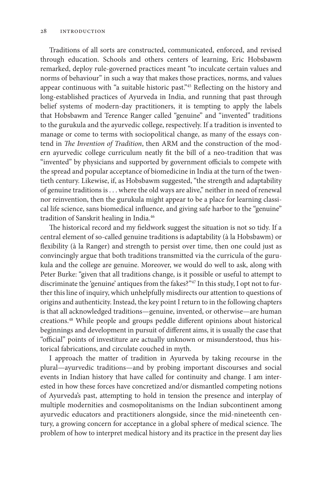Traditions of all sorts are constructed, communicated, enforced, and revised through education. Schools and others centers of learning, Eric Hobsbawm remarked, deploy rule-governed practices meant "to inculcate certain values and norms of behaviour" in such a way that makes those practices, norms, and values appear continuous with "a suitable historic past."45 Reflecting on the history and long-established practices of Ayurveda in India, and running that past through belief systems of modern-day practitioners, it is tempting to apply the labels that Hobsbawm and Terence Ranger called "genuine" and "invented" traditions to the gurukula and the ayurvedic college, respectively. If a tradition is invented to manage or come to terms with sociopolitical change, as many of the essays contend in *The Invention of Tradition*, then ARM and the construction of the modern ayurvedic college curriculum neatly fit the bill of a neo-tradition that was "invented" by physicians and supported by government officials to compete with the spread and popular acceptance of biomedicine in India at the turn of the twentieth century. Likewise, if, as Hobsbawm suggested, "the strength and adaptability of genuine traditions is . . . where the old ways are alive," neither in need of renewal nor reinvention, then the gurukula might appear to be a place for learning classical life science, sans biomedical influence, and giving safe harbor to the "genuine" tradition of Sanskrit healing in India.46

The historical record and my fieldwork suggest the situation is not so tidy. If a central element of so-called genuine traditions is adaptability (à la Hobsbawm) or flexibility (à la Ranger) and strength to persist over time, then one could just as convincingly argue that both traditions transmitted via the curricula of the gurukula and the college are genuine. Moreover, we would do well to ask, along with Peter Burke: "given that all traditions change, is it possible or useful to attempt to discriminate the 'genuine' antiques from the fakes?"47 In this study, I opt not to further this line of inquiry, which unhelpfully misdirects our attention to questions of origins and authenticity. Instead, the key point I return to in the following chapters is that all acknowledged traditions—genuine, invented, or otherwise—are human creations.48 While people and groups peddle different opinions about historical beginnings and development in pursuit of different aims, it is usually the case that "official" points of investiture are actually unknown or misunderstood, thus historical fabrications, and circulate couched in myth.

I approach the matter of tradition in Ayurveda by taking recourse in the plural—ayurvedic traditions—and by probing important discourses and social events in Indian history that have called for continuity and change. I am interested in how these forces have concretized and/or dismantled competing notions of Ayurveda's past, attempting to hold in tension the presence and interplay of multiple modernities and cosmopolitanisms on the Indian subcontinent among ayurvedic educators and practitioners alongside, since the mid-nineteenth century, a growing concern for acceptance in a global sphere of medical science. The problem of how to interpret medical history and its practice in the present day lies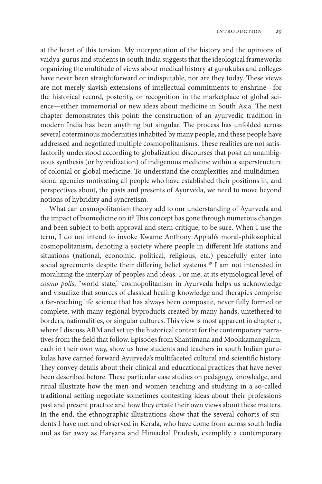at the heart of this tension. My interpretation of the history and the opinions of vaidya-gurus and students in south India suggests that the ideological frameworks organizing the multitude of views about medical history at gurukulas and colleges have never been straightforward or indisputable, nor are they today. These views are not merely slavish extensions of intellectual commitments to enshrine—for the historical record, posterity, or recognition in the marketplace of global science—either immemorial or new ideas about medicine in South Asia. The next chapter demonstrates this point: the construction of an ayurvedic tradition in modern India has been anything but singular. The process has unfolded across several coterminous modernities inhabited by many people, and these people have addressed and negotiated multiple cosmopolitanisms. These realities are not satisfactorily understood according to globalization discourses that posit an unambiguous synthesis (or hybridization) of indigenous medicine within a superstructure of colonial or global medicine. To understand the complexities and multidimensional agencies motivating all people who have established their positions in, and perspectives about, the pasts and presents of Ayurveda, we need to move beyond notions of hybridity and syncretism.

What can cosmopolitanism theory add to our understanding of Ayurveda and the impact of biomedicine on it? This concept has gone through numerous changes and been subject to both approval and stern critique, to be sure. When I use the term, I do not intend to invoke Kwame Anthony Appiah's moral-philosophical cosmopolitanism, denoting a society where people in different life stations and situations (national, economic, political, religious, etc.) peacefully enter into social agreements despite their differing belief systems.<sup>49</sup> I am not interested in moralizing the interplay of peoples and ideas. For me, at its etymological level of *cosmo polis*, "world state," cosmopolitanism in Ayurveda helps us acknowledge and visualize that sources of classical healing knowledge and therapies comprise a far-reaching life science that has always been composite, never fully formed or complete, with many regional byproducts created by many hands, untethered to borders, nationalities, or singular cultures. This view is most apparent in chapter 1, where I discuss ARM and set up the historical context for the contemporary narratives from the field that follow. Episodes from Shantimana and Mookkamangalam, each in their own way, show us how students and teachers in south Indian gurukulas have carried forward Ayurveda's multifaceted cultural and scientific history. They convey details about their clinical and educational practices that have never been described before. These particular case studies on pedagogy, knowledge, and ritual illustrate how the men and women teaching and studying in a so-called traditional setting negotiate sometimes contesting ideas about their profession's past and present practice and how they create their own views about these matters. In the end, the ethnographic illustrations show that the several cohorts of students I have met and observed in Kerala, who have come from across south India and as far away as Haryana and Himachal Pradesh, exemplify a contemporary